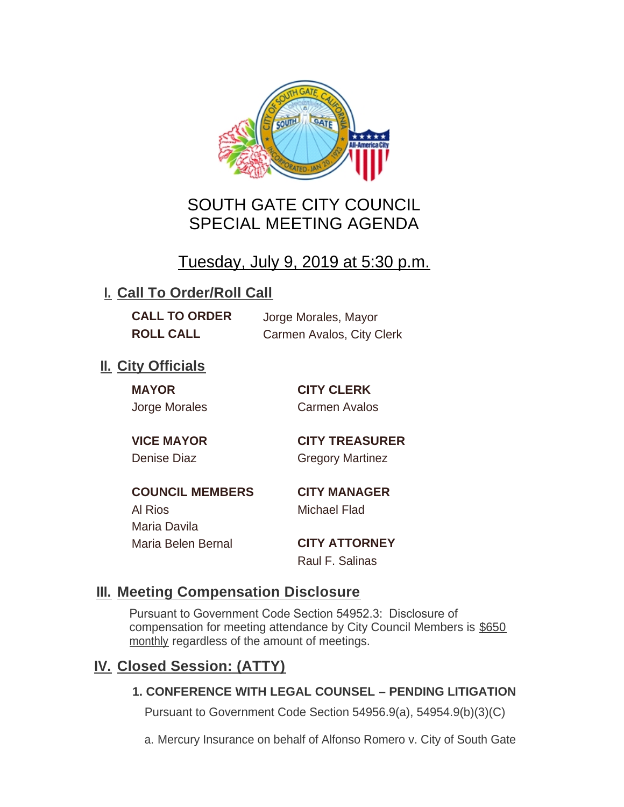

# SOUTH GATE CITY COUNCIL SPECIAL MEETING AGENDA

# Tuesday, July 9, 2019 at 5:30 p.m.

## **I. Call To Order/Roll Call**

| <b>CALL TO ORDER</b> | Jorge I |
|----------------------|---------|
| <b>ROLL CALL</b>     | Carme   |

**Morales, Mayor Roll Avalos, City Clerk** 

## **II.** City Officials

**MAYOR CITY CLERK**

Jorge Morales Carmen Avalos

**VICE MAYOR CITY TREASURER** Denise Diaz Gregory Martinez

**COUNCIL MEMBERS CITY MANAGER** Al Rios Michael Flad Maria Davila Maria Belen Bernal **CITY ATTORNEY**

Raul F. Salinas

### **Meeting Compensation Disclosure III.**

Pursuant to Government Code Section 54952.3: Disclosure of compensation for meeting attendance by City Council Members is \$650 monthly regardless of the amount of meetings.

## **Closed Session: (ATTY) IV.**

### **1. CONFERENCE WITH LEGAL COUNSEL – PENDING LITIGATION**

Pursuant to Government Code Section 54956.9(a), 54954.9(b)(3)(C)

a. Mercury Insurance on behalf of Alfonso Romero v. City of South Gate